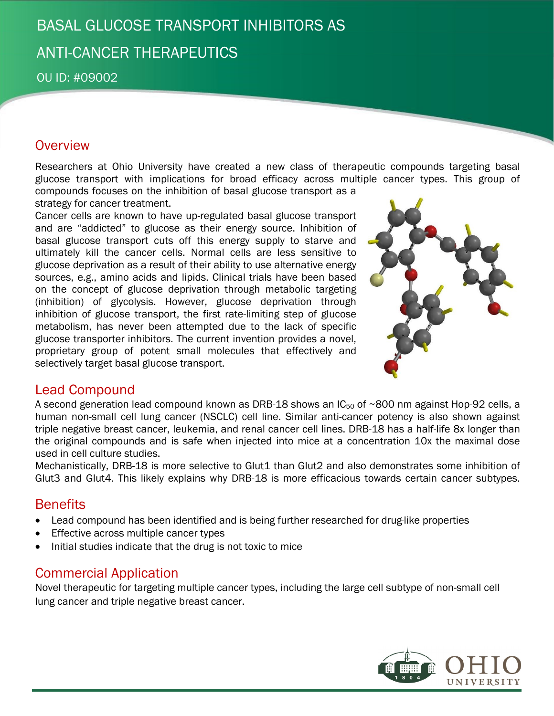## BASAL GLUCOSE TRANSPORT INHIBITORS AS ANTI-CANCER THERAPEUTICS

OU ID: #09002

## **Overview**

Researchers at Ohio University have created a new class of therapeutic compounds targeting basal glucose transport with implications for broad efficacy across multiple cancer types. This group of compounds focuses on the inhibition of basal glucose transport as a

strategy for cancer treatment.

Cancer cells are known to have up-regulated basal glucose transport and are "addicted" to glucose as their energy source. Inhibition of basal glucose transport cuts off this energy supply to starve and ultimately kill the cancer cells. Normal cells are less sensitive to glucose deprivation as a result of their ability to use alternative energy sources, e.g., amino acids and lipids. Clinical trials have been based on the concept of glucose deprivation through metabolic targeting (inhibition) of glycolysis. However, glucose deprivation through inhibition of glucose transport, the first rate-limiting step of glucose metabolism, has never been attempted due to the lack of specific glucose transporter inhibitors. The current invention provides a novel, proprietary group of potent small molecules that effectively and selectively target basal glucose transport.



## Lead Compound

A second generation lead compound known as DRB-18 shows an  $IC_{50}$  of ~800 nm against Hop-92 cells, a human non-small cell lung cancer (NSCLC) cell line. Similar anti-cancer potency is also shown against triple negative breast cancer, leukemia, and renal cancer cell lines. DRB-18 has a half-life 8x longer than the original compounds and is safe when injected into mice at a concentration 10x the maximal dose used in cell culture studies.

Mechanistically, DRB-18 is more selective to Glut1 than Glut2 and also demonstrates some inhibition of Glut3 and Glut4. This likely explains why DRB-18 is more efficacious towards certain cancer subtypes.

## **Benefits**

- Lead compound has been identified and is being further researched for drug-like properties
- **Effective across multiple cancer types**
- Initial studies indicate that the drug is not toxic to mice

## Commercial Application

Novel therapeutic for targeting multiple cancer types, including the large cell subtype of non-small cell lung cancer and triple negative breast cancer.